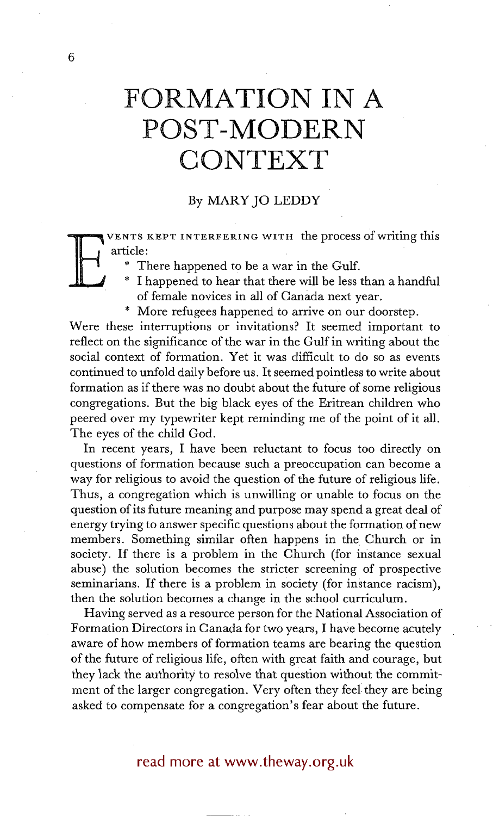# **FORMATION IN A POST-MODERN CONTEXT**

## By MARY JO LEDDY

 $\mathbf{E} \right\}$ VENTS KEPT INTERFERING WITH the process of writing this article:

- There happened to be a war in the Gulf.
- I happened to hear that there will be less than a handful of female novices in all of Canada next year.
- \* More refugees happened to arrive on our doorstep.

Were these interruptions or invitations? It seemed important to reflect on the significance of the war in the Gulf in writing about the social context of formation. Yet it was difficult to do so as events continued to unfold daily before us. It seemed pointless to write about formation as if there was no doubt about the future of some religious congregations. But the big black eyes of the Eritrean children who peered over my typewriter kept reminding me of the point of it all. The eyes of the child God.

In recent years, I have been reluctant to focus too directly on questions of formation because such a preoccupation can become a way for religious to avoid the question of the future of religious life. Thus, a congregation which is unwilling or unable to focus on the question of its future meaning and purpose may spend a great deal of energy trying to answer specific questions about the formation of new members. Something similar often happens in the Church or in society. If there is a problem in the Church (for instance sexual abuse) the solution becomes the stricter screening of prospective seminarians. If there is a problem in society (for instance racism), then the solution becomes a change in the school curriculum.

Having served as a resource person for the National Association of Formation Directors in Canada for two years, I have become acutely aware of how members of formation teams are bearing the question of the future of religious life, often with great faith and courage, but they lack the authority to resolve that question without the commitment of the larger congregation. Very often they feel they are being asked to compensate for a congregation's fear about the future.

## read more at www.theway.org.uk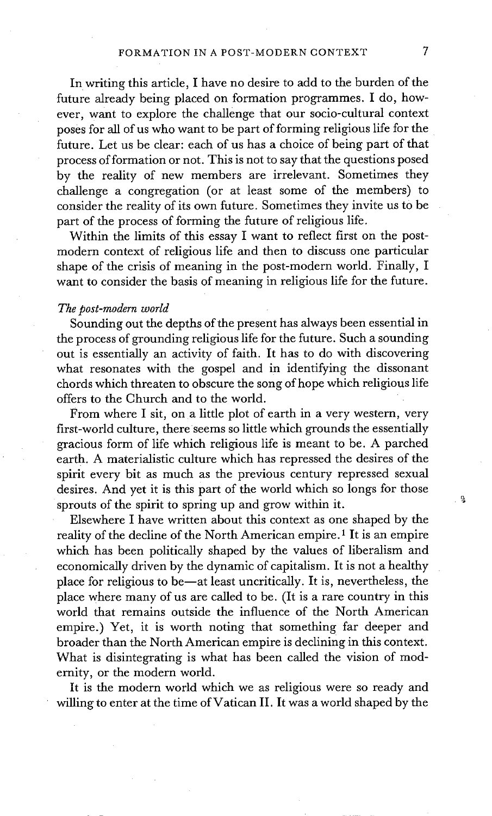In writing this article, I have no desire to add to the burden of the future already being placed on formation programmes. I do, however, want to explore the challenge that our socio-cultural context poses for all of us who want to be part of forming religious life for the future. Let us be clear: each of us has a choice of being part of that process of formation or not. This is not to say that the questions posed by the reality of new members are irrelevant. Sometimes they challenge a congregation (or at least some of the members) to consider the reality of its own future. Sometimes they invite us to be part of the process of forming the future of religious life.

Within the limits of this essay I want to reflect first on the postmodern context of religious life and then to discuss one particular shape of the crisis of meaning in the post-modern world. Finally, I want to consider the basis of meaning in religious life for the future.

#### *The post-modern world*

Sounding out the depths of the present has always been essential in the process of grounding religious life for the future. Such a sounding out is essentially an activity of faith. It has to do with discovering what resonates with the gospel and in identifying the dissonant chords which threaten to obscure the song of hope which religious life offers to the Church and to the world.

From where I sit, on a little plot of earth in a very western, very first-world culture, there seems so little which grounds the essentially gracious form of life which religious life is meant to be. A parched earth. A materialistic culture which has repressed the desires of the spirit every bit as much as the previous century repressed sexual desires. And yet it is this part of the world which so longs for those sprouts of the spirit to spring up and grow within it.

Elsewhere I have written about this context as one shaped by the reality of the decline of the North American empire.<sup>1</sup> It is an empire which has been politically shaped by the values of liberalism and economically driven by the dynamic of capitalism. It is not a healthy place for religious to be--at least uncritically. It is, nevertheless, the place where many of us are called to be. (It is a rare country in this world that remains outside the influence of the North American empire.) Yet, it is worth noting that something far deeper and broader than the North American empire is declining in this context. What is disintegrating is what has been called the vision of modernity, or the modern world.

It is the modern world which we as religious were so ready and willing to enter at the time of Vatican II. It was a world shaped by the ್ಡ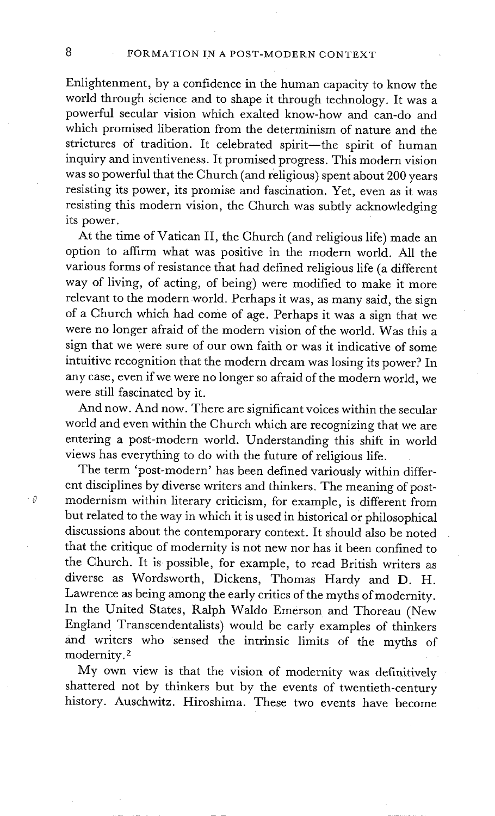Enlightenment, by a confidence in the human capacity to know the world through science and to shape it through technology. It was a powerful secular vision which exalted know-how and can-do and which promised liberation from the determinism of nature and the strictures of tradition. It celebrated spirit-the spirit of human inquiry and inventiveness. It promised progress. This modern vision was so powerful that the Church (and religious) spent about 200 years resisting its power, its promise and fascination. Yet, even as it was resisting this modern vision, the Church was subtly acknowledging its power.

At the time of Vatican II, the Church (and religious life) made an option to affirm what was positive in the modern world. All the various forms of resistance that had defined religious life (a different way of living, of acting, of being) were modified to make it more relevant to the modern world. Perhaps it was, as many said, the sign of a Church which had come of age. Perhaps it was a sign that we were no longer afraid of the modern vision of the world. Was this a sign that we were sure of our own faith or was it indicative of some intuitive recognition that the modern dream was losing its power? In any case, even if we were no longer so afraid of the modern world, we were still fascinated by it.

And now. And now. There are significant voices within the secular world and even within the Church which are recognizing that we are entering a post-modern world. Understanding this shift in world views has everything to do with the future of religious life.

The term 'post-modern' has been defined variously within different disciplines by diverse writers and thinkers. The meaning of postmodernism within literary criticism, for example, is different from but related to the way in which it is used in historical or philosophical discussions about the contemporary context. It should also be noted that the critique of modernity is not new nor has it been confined to the Church. It is possible, for example, to read British writers as diverse as Wordsworth, Dickens, Thomas Hardy and D. H. Lawrence as being among the early critics of the myths of modernity. In the United States, Ralph Waldo Emerson and Thoreau (New England Transcendentalists) would be early examples of thinkers and writers who sensed the intrinsic limits of the myths of modernity. 2

My own view is that the vision of modernity was definitively shattered not by thinkers but by the events of twentieth-century history. Auschwitz. Hiroshima. These two events have become

 $\cdot$  9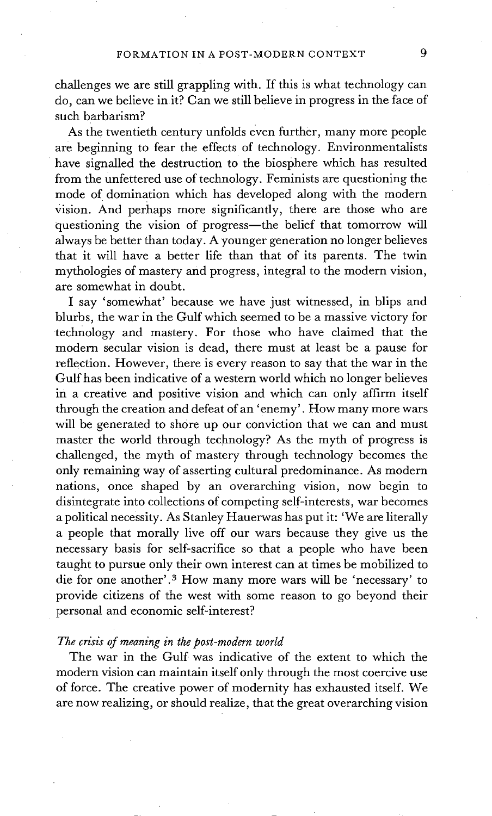challenges we are still grappling with. If this is what technology can do, can we believe in it? Can we still believe in progress in the face of such barbarism?

As the twentieth century unfolds even further, many more people are beginning to fear the effects of technology. Environmentalists have signalled the destruction to the biosphere which has resulted from the unfettered use of technology. Feminists are questioning the mode of domination which has developed along with the modern Vision. And perhaps more significantly, there are those who are questioning the vision of progress-the belief that tomorrow will always be better than today. A younger generation no longer believes that it will have a better life than that of its parents. The twin mythologies of mastery and progress, integral to the modern vision, are somewhat in doubt.

I say 'somewhat' because we have just witnessed, in blips and blurbs, the war in the Gulf which seemed to be a massive victory for technology and mastery. For those who have claimed that the modern secular vision is dead, there must at least be a pause for reflection. However, there is every reason to say that the war in the Gulf has been indicative of a western world which no longer believes in a creative and positive vision and which can only affirm itself through the creation and defeat of an 'enemy'. How many more wars will be generated to shore up our conviction that we can and must master the world through technology? As the myth of progress is challenged, the myth of mastery through technology becomes the only remaining way of asserting cultural predominance. As modern nations, once shaped by an overarching vision, now begin to disintegrate into collections of competing self-interests, war becomes a political necessity. As Stanley Hauerwas has put it: 'We are literally a people that morally live off our wars because they give us the necessary basis for self-sacrifice so that a people who have been taught to pursue only their own interest can at times be mobilized to die for one another'.<sup>3</sup> How many more wars will be 'necessary' to provide citizens of the west with some reason to go beyond their personal and economic self-interest?

### *The crisis of meaning in the post-modern world*

The war in the Gulf was indicative of the extent to which the modern vision can maintain itself only through the most coercive use of force. The creative power of modernity has exhausted itself. We are now realizing, or should realize, that the great overarching vision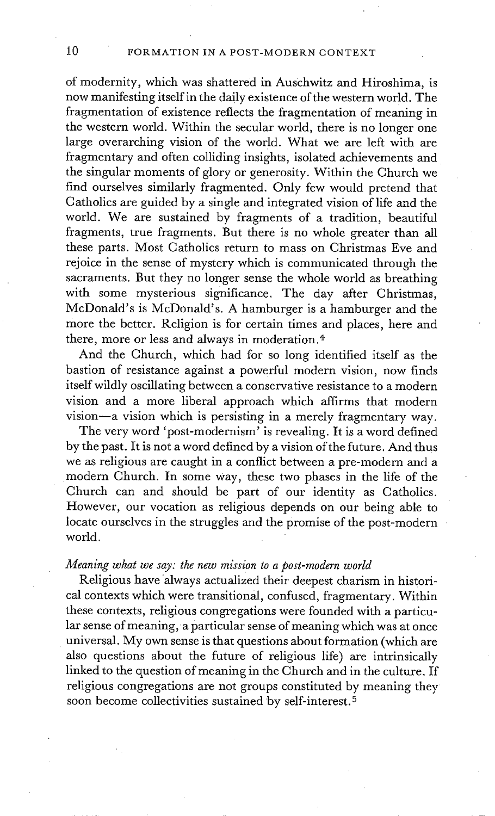of modernity, which was shattered in Auschwitz and Hiroshima, is now manifesting itself in the daily existence of the western world. The fragmentation of existence reflects the fragmentation of meaning in the western world. Within the secular world, there is no longer one large overarching vision of the world. What we are left with are fragmentary and often colliding insights, isolated achievements and the singular moments of glory or generosity. Within the Church we find ourselves similarly fragmented. Only few would pretend that Catholics are guided by a single and integrated vision of life and the world. We are sustained by fragments of a tradition, beautiful fragments, true fragments. But there is no whole greater than all these parts. Most Catholics return to mass on Christmas Eve and rejoice in the sense of mystery which is communicated through the sacraments. But they no longer sense the whole world as breathing with some mysterious significance. The day after Christmas, McDonald's is McDonald's. A hamburger is a hamburger and the more the better. Religion is for certain times and places, here and there, more or less and always in moderation. 4

And the Church, which had for so long identified itself as the bastion of resistance against a powerful modern vision, now finds itself wildly oscillating between a conservative resistance to a modern vision and a more liberal approach which affirms that modern vision--a vision which is persisting in a merely fragmentary way.

The very word 'post-modernism' is revealing. It is a word defined by the past. It is not a word defined by a vision of the future. And thus we as religious are caught in a conflict between a pre-modern and a modern Church. In some Way, these two phases in the life of the Church can and should be part of our identity as Catholics. However, our vocation as religious depends on our being able to locate ourselves in the struggles and the promise of the post-modern world.

### *Meaning what we say: the new mission to a post-modern world*

Religious have always actualized their deepest charism in historical contexts which were transitional, confused, fragmentary. Within these contexts, religious congregations were founded with a particular sense of meaning, a particular sense of meaning which was at once universal. My own sense is that questions about formation (which are also questions about the future of religious life) are intrinsically linked to the question of meaning in the Church and in the culture. If religious congregations are not groups constituted by meaning they soon become collectivities sustained by self-interest.5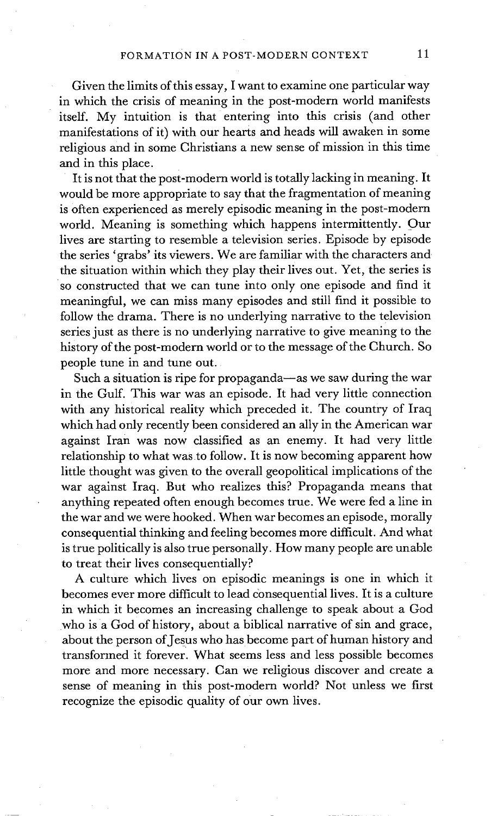Given the limits of this essay, I want to examine one particular way in which the crisis of meaning in the post-modem world manifests itself. My intuition is that entering into this crisis (and other manifestations of it) with our hearts and heads will awaken in some religious and in some Christians a new sense of mission in this time and in this place.

It is not that the post-modern world is totally lacking in meaning. It would be more appropriate to say that the fragmentation of meaning is often experienced as merely episodic meaning in the post-modem world. Meaning is something which happens intermittently. Our lives are starting to resemble a television series. Episode by episode the series 'grabs' its viewers. We are familiar with the characters and the situation within which they play their lives out. Yet, the series is so constructed that we can tune into only one episode and find it meaningful, we can miss many episodes and still find it possible to follow the drama. There is no underlying narrative to the television series just as there is no underlying narrative to give meaning to the history of the post-modem world or to the message of the Church. So people tune in and tune out.

Such a situation is ripe for propaganda-as we saw during the war in the Gulf. This war was an episode. It had very little connection with any historical reality which preceded it. The country of Iraq which had only recently been considered an ally in the American war against Iran was now classified as an enemy. It had very little relationship to what was to follow. It is now becoming apparent how little thought was given to the overall geopolitical implications of the war against Iraq. But who realizes this? Propaganda means that anything repeated often enough becomes true. We were fed a line in the war and we were hooked. When war becomes an episode, morally consequential thinking and feeling becomes more difficult. And what is true politically is also true personally. How many people are unable to treat their lives consequentially?

A culture which lives on episodic meanings is one in which it becomes ever more difficuk to lead consequential lives. It is a culture in which it becomes an increasing challenge to speak about a God who is a God of history, about a biblical narrative of sin and grace, about the person of Jesus who has become part of human history and transformed it forever. What seems less and less possible becomes more and more necessary. Can we religious discover and create a sense of meaning in this post-modern world? Not unless we first recognize the episodic quality of our own lives.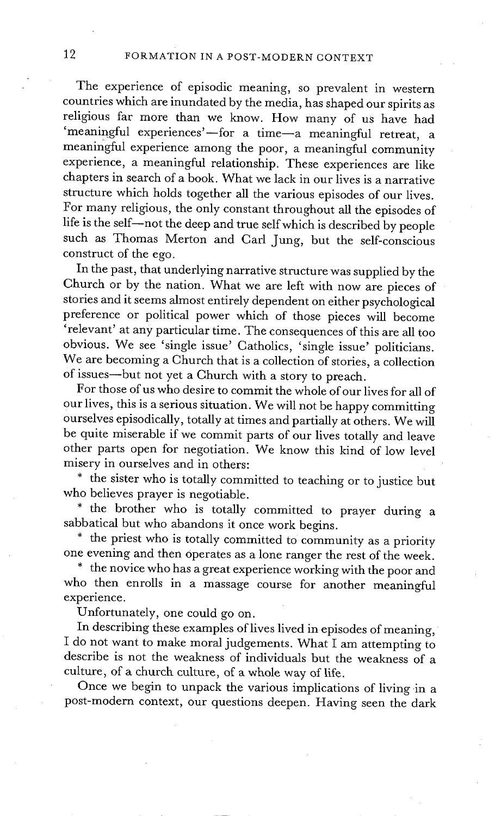The experience of episodic meaning, so prevalent in western countries which are inundated by the media, has shaped our spirits as religious far more than we know. How many of us have had 'meaningful experiences'--for a time-a meaningful retreat, a meaningful experience among the poor, a meaningful community experience, a meaningful relationship. These experiences are like chapters in search of a book. What we lack in our lives is a narrative structure which holds together all the various episodes of our lives. For many religious, the only constant throughout all the episodes of life is the self--not the deep and true self which is described by people such as Thomas Merton and Carl Jung, but the self-conscious construct of the ego.

In the past, that underlying narrative structure was supplied by the Church or by the nation. What we are left with now are pieces of stories and it seems almost entirely dependent on either psychological preference or political power which of those pieces will become 'relevant' at any particular time. The consequences of this are all too obvious. We see 'single issue' Catholics, 'single issue' politicians. We are becoming a Church that is a collection of stories, a collection of issues--but not yet a Church with a story to preach.

For those of us who desire to commit the whole of our lives for all of our lives, this is a serious situation. We will not be happy committing ourselves episodically, totally at times and partially at others. We will be quite miserable if we commit parts of our lives totally and leave other parts open for negotiation. We know this kind of low level misery in ourselves and in others:

\* the sister who is totally committed to teaching or to justice but who believes prayer is negotiable.

\* the brother who is totally committed to prayer during a sabbatical but who abandons it once work begins.

\* the priest who is totally committed to community as a priority one evening and then Operates as a lone ranger the rest of the week.

\* the novice who has a great experience working with the poor and who then enrolls in a massage course for another meaningful experience.

Unfortunately, one could go on.

In describing these examples of lives lived in episodes of meaning, I do not want to make moral judgements. What I am attempting to describe is not the weakness of individuals but the weakness of a culture, of a church culture, of a whole way of life.

Once we begin to unpack the various implications of living in a post-modern context, our questions deepen. Having seen the dark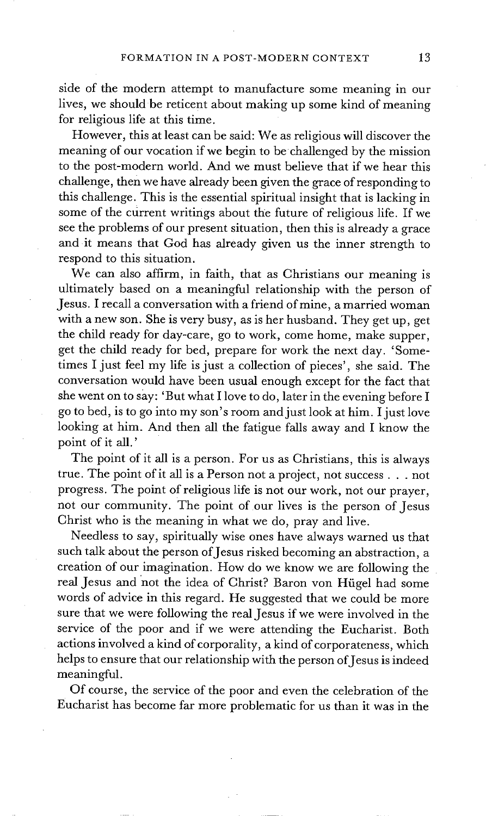side of the modern attempt to manufacture some meaning in our lives, we should be reticent about making up some kind of meaning for religious life at this time.

However, this at least can be said: We as religious will discover the meaning of our vocation if we begin to be challenged by the mission to the post-modern world. And we must believe that if we hear this challenge, then we have already been given the grace of responding to this challenge. This is the essential spiritual insight that is lacking in some of the current writings about the future of religious life. If we see the problems of our present situation, then this is already a grace and it means that God has already given us the inner strength to respond to this situation.

We can also affirm, in faith, that as Christians our meaning is ultimately based on a meaningful relationship with the person of Jesus. I recall a conversation with a friend of mine, a married woman with a new son. She is very busy, as is her husband. They get up, get the child ready for day-care, go to work, come home, make supper, get the child ready for bed, prepare for work the next day. 'Sometimes I just feel my life is just a collection of pieces', she said. The conversation would have been usual enough except for the fact that she went on to say: 'But what I love to do, later in the evening before I go to bed, is to go into my son's room and just look at him. I just love looking at him. And then all the fatigue falls away and I know the point of it all.'

The point of it all is a person. For us as Christians, this is always true. The point of it all is a Person not a project, not success.., not progress. The point of religious life is not our work, not our prayer, not our community. The point of our lives is the person of Jesus Christ who is the meaning in what we do, pray and live.

Needless to say, spiritually wise ones have always warned us that such talk about the person of Jesus risked becoming an abstraction, a creation of our imagination. How do we know we are following the real Jesus and not the idea of Christ? Baron von Hügel had some words of advice in this regard. He suggested that we could be more sure that we were following the real Jesus if we were involved in the service of the poor and if we were attending the Eucharist. Both actions involved a kind of corporality, a kind of corporateness, which helps to ensure that our relationship with the person of Jesus is indeed meaningful.

Of course, the service of the poor and even the celebration of the Eucharist has become far more problematic for us than it was in the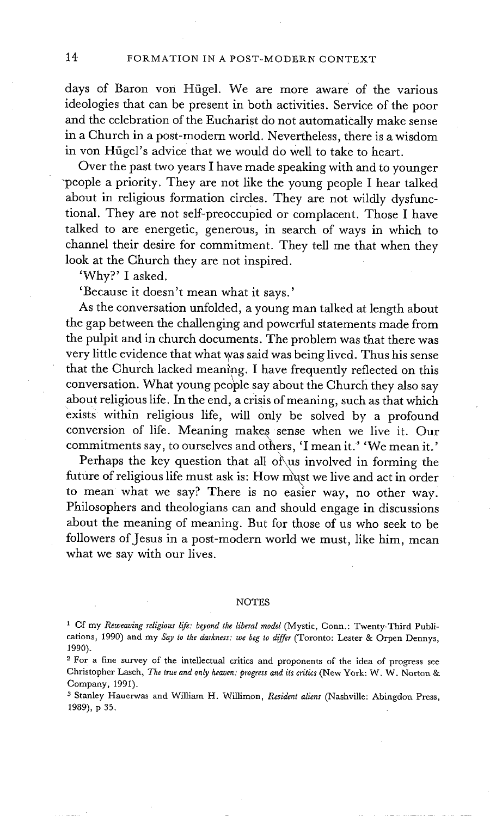days of Baron von Hügel. We are more aware of the various ideologies that can be present in both activities. Service of the poor and the celebration of the Eucharist do not automatically make sense in a Church in a post-modern world. Nevertheless, there is a wisdom in von Hügel's advice that we would do well to take to heart.

Over the past two years I have made speaking with and to younger -people a priority. They are not like the young people I hear talked about in religious formation circles. They are not wildly dysfunctional. They are not self-preoccupied or complacent. Those I have talked to are energetic, generous, in search of ways in which to channel their desire for commitment. They tell me that when they look at the Church they are not inspired.

'Why?' I asked.

'Because it doesn't mean what it says.'

As the conversation unfolded, a young man talked at length about the gap between the challenging and powerful statements made from the pulpit and in church documents. The problem was that there was very little evidence that what was said was being lived. Thus his sense that the Church lacked meaning. I have frequently reflected on this conversation. What young people say about the Church they also say about religious life. In the end, a crisis of meaning, such as that which exists within religious life, will only be solved by a profound conversion of life. Meaning makes sense when we live it. Our commitments say, to ourselves and others, 'I mean it.' 'We mean it.'

Perhaps the key question that all of us involved in forming the future of religious life must ask is: How must we live and act in order to mean what we say? There is no easier way, no other way. Philosophers and theologians can and should engage in discussions about the meaning of meaning. But for those of us who seek to be followers of Jesus in a post-modern world we must, like him, mean what we say with our lives.

#### **NOTES**

<sup>&</sup>lt;sup>1</sup> Cf my *Reweaving religious life: beyond the liberal model* (Mystic, Conn.: Twenty-Third Publications, 1990) and my *Say to the darkness: we beg to differ* (Toronto: Lester & Orpen Dennys, 1990).

<sup>&</sup>lt;sup>2</sup> For a fine survey of the intellectual critics and proponents of the idea of progress see Christopher Lasch, *The true and only heaven: progress and its critics* (New York: W. W. Norton & Company, 1991).

s Stanley Hauerwas and William H. Willimon, *Resident aliens* (Nashville: Ablngdon Press, 1989), p 35.